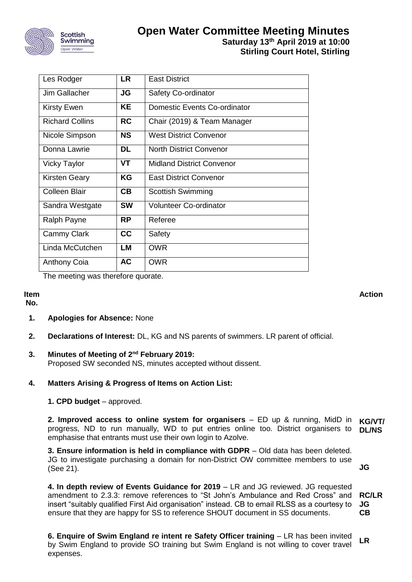

| Les Rodger             | <b>LR</b> | <b>East District</b>                |
|------------------------|-----------|-------------------------------------|
| Jim Gallacher          | JG        | <b>Safety Co-ordinator</b>          |
| <b>Kirsty Ewen</b>     | <b>KE</b> | <b>Domestic Events Co-ordinator</b> |
| <b>Richard Collins</b> | <b>RC</b> | Chair (2019) & Team Manager         |
| Nicole Simpson         | <b>NS</b> | <b>West District Convenor</b>       |
| Donna Lawrie           | DL        | <b>North District Convenor</b>      |
| <b>Vicky Taylor</b>    | <b>VT</b> | <b>Midland District Convenor</b>    |
| <b>Kirsten Geary</b>   | KG        | <b>East District Convenor</b>       |
| <b>Colleen Blair</b>   | CB        | <b>Scottish Swimming</b>            |
| Sandra Westgate        | <b>SW</b> | Volunteer Co-ordinator              |
| Ralph Payne            | <b>RP</b> | Referee                             |
| Cammy Clark            | cc        | Safety                              |
| Linda McCutchen        | <b>LM</b> | <b>OWR</b>                          |
| <b>Anthony Coia</b>    | <b>AC</b> | <b>OWR</b>                          |

The meeting was therefore quorate.

#### **Item No.**

**Action**

**JG**

# **1. Apologies for Absence:** None

**2. Declarations of Interest:** DL, KG and NS parents of swimmers. LR parent of official.

# **3. Minutes of Meeting of 2nd February 2019:**

Proposed SW seconded NS, minutes accepted without dissent.

### **4. Matters Arising & Progress of Items on Action List:**

#### **1. CPD budget** – approved.

**2. Improved access to online system for organisers** – ED up & running, MidD in **KG/VT/** progress, ND to run manually, WD to put entries online too. District organisers to **DL/NS** emphasise that entrants must use their own login to Azolve.

**3. Ensure information is held in compliance with GDPR** – Old data has been deleted. JG to investigate purchasing a domain for non-District OW committee members to use (See 21).

**4. In depth review of Events Guidance for 2019** – LR and JG reviewed. JG requested amendment to 2.3.3: remove references to "St John's Ambulance and Red Cross" and insert "suitably qualified First Aid organisation" instead. CB to email RLSS as a courtesy to ensure that they are happy for SS to reference SHOUT document in SS documents. **RC/LR JG CB**

**6. Enquire of Swim England re intent re Safety Officer training** – LR has been invited by Swim England to provide SO training but Swim England is not willing to cover travel expenses. **LR**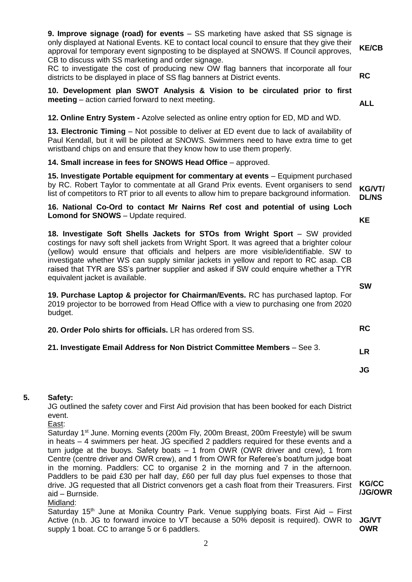**9. Improve signage (road) for events** – SS marketing have asked that SS signage is only displayed at National Events. KE to contact local council to ensure that they give their approval for temporary event signposting to be displayed at SNOWS. If Council approves, CB to discuss with SS marketing and order signage.

RC to investigate the cost of producing new OW flag banners that incorporate all four districts to be displayed in place of SS flag banners at District events.

**10. Development plan SWOT Analysis & Vision to be circulated prior to first meeting** – action carried forward to next meeting.

**12. Online Entry System -** Azolve selected as online entry option for ED, MD and WD.

**13. Electronic Timing** – Not possible to deliver at ED event due to lack of availability of Paul Kendall, but it will be piloted at SNOWS. Swimmers need to have extra time to get wristband chips on and ensure that they know how to use them properly.

#### **14. Small increase in fees for SNOWS Head Office - approved.**

**15. Investigate Portable equipment for commentary at events** – Equipment purchased by RC. Robert Taylor to commentate at all Grand Prix events. Event organisers to send list of competitors to RT prior to all events to allow him to prepare background information.

**16. National Co-Ord to contact Mr Nairns Ref cost and potential of using Loch Lomond for SNOWS** – Update required.

**18. Investigate Soft Shells Jackets for STOs from Wright Sport** – SW provided costings for navy soft shell jackets from Wright Sport. It was agreed that a brighter colour (yellow) would ensure that officials and helpers are more visible/identifiable. SW to investigate whether WS can supply similar jackets in yellow and report to RC asap. CB raised that TYR are SS's partner supplier and asked if SW could enquire whether a TYR equivalent jacket is available.

**19. Purchase Laptop & projector for Chairman/Events.** RC has purchased laptop. For 2019 projector to be borrowed from Head Office with a view to purchasing one from 2020 budget.

| 20. Order Polo shirts for officials. LR has ordered from SS. |  |  |
|--------------------------------------------------------------|--|--|
|--------------------------------------------------------------|--|--|

#### **21. Investigate Email Address for Non District Committee Members** – See 3.

#### **5. Safety:**

JG outlined the safety cover and First Aid provision that has been booked for each District event.

#### East:

Saturday 1<sup>st</sup> June. Morning events (200m Fly, 200m Breast, 200m Freestyle) will be swum in heats – 4 swimmers per heat. JG specified 2 paddlers required for these events and a turn judge at the buoys. Safety boats – 1 from OWR (OWR driver and crew), 1 from Centre (centre driver and OWR crew), and 1 from OWR for Referee's boat/turn judge boat in the morning. Paddlers: CC to organise 2 in the morning and 7 in the afternoon. Paddlers to be paid £30 per half day, £60 per full day plus fuel expenses to those that drive. JG requested that all District convenors get a cash float from their Treasurers. First aid – Burnside.

Midland:

Saturday 15th June at Monika Country Park. Venue supplying boats. First Aid – First Active (n.b. JG to forward invoice to VT because a 50% deposit is required). OWR to **JG/VT** supply 1 boat. CC to arrange 5 or 6 paddlers. **OWR**

**KG/VT/ DL/NS**

**SW**

**KE**

**JG**

**LR**

**/JG/OWR**

**KG/CC**

**KE/CB**

**RC**

**ALL**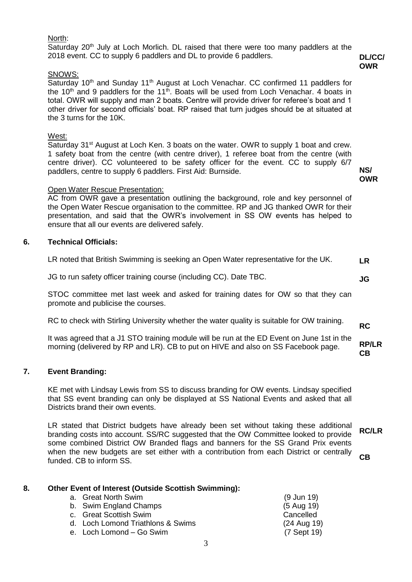#### North:

Saturday  $20<sup>th</sup>$  July at Loch Morlich. DL raised that there were too many paddlers at the 2018 event. CC to supply 6 paddlers and DL to provide 6 paddlers.

#### SNOWS:

Saturday 10<sup>th</sup> and Sunday 11<sup>th</sup> August at Loch Venachar. CC confirmed 11 paddlers for the  $10<sup>th</sup>$  and 9 paddlers for the  $11<sup>th</sup>$ . Boats will be used from Loch Venachar. 4 boats in total. OWR will supply and man 2 boats. Centre will provide driver for referee's boat and 1 other driver for second officials' boat. RP raised that turn judges should be at situated at the 3 turns for the 10K.

### West:

Saturday 31<sup>st</sup> August at Loch Ken. 3 boats on the water. OWR to supply 1 boat and crew. 1 safety boat from the centre (with centre driver), 1 referee boat from the centre (with centre driver). CC volunteered to be safety officer for the event. CC to supply 6/7 paddlers, centre to supply 6 paddlers. First Aid: Burnside.

### Open Water Rescue Presentation:

AC from OWR gave a presentation outlining the background, role and key personnel of the Open Water Rescue organisation to the committee. RP and JG thanked OWR for their presentation, and said that the OWR's involvement in SS OW events has helped to ensure that all our events are delivered safely.

# **6. Technical Officials:**

| LR noted that British Swimming is seeking an Open Water representative for the UK. | LR |
|------------------------------------------------------------------------------------|----|
|------------------------------------------------------------------------------------|----|

JG to run safety officer training course (including CC). Date TBC.

STOC committee met last week and asked for training dates for OW so that they can promote and publicise the courses.

RC to check with Stirling University whether the water quality is suitable for OW training.

It was agreed that a J1 STO training module will be run at the ED Event on June 1st in the morning (delivered by RP and LR). CB to put on HIVE and also on SS Facebook page. **RP/LR CB**

# **7. Event Branding:**

KE met with Lindsay Lewis from SS to discuss branding for OW events. Lindsay specified that SS event branding can only be displayed at SS National Events and asked that all Districts brand their own events.

LR stated that District budgets have already been set without taking these additional branding costs into account. SS/RC suggested that the OW Committee looked to provide some combined District OW Branded flags and banners for the SS Grand Prix events when the new budgets are set either with a contribution from each District or centrally funded. CB to inform SS. **RC/LR CB**

| 8. | Other Event of Interest (Outside Scottish Swimming): |                       |  |  |  |  |
|----|------------------------------------------------------|-----------------------|--|--|--|--|
|    | a. Great North Swim                                  | $(9 \text{ Jun } 19)$ |  |  |  |  |
|    | b. Swim England Champs                               | $(5$ Aug 19)          |  |  |  |  |
|    | c. Great Scottish Swim                               | Cancelled             |  |  |  |  |
|    | d. Loch Lomond Triathlons & Swims                    | (24 Aug 19)           |  |  |  |  |
|    | e. Loch Lomond – Go Swim                             | (7 Sept 19)           |  |  |  |  |
|    |                                                      |                       |  |  |  |  |

**DL/CC/ OWR**

**NS/ OWR**

**RC**